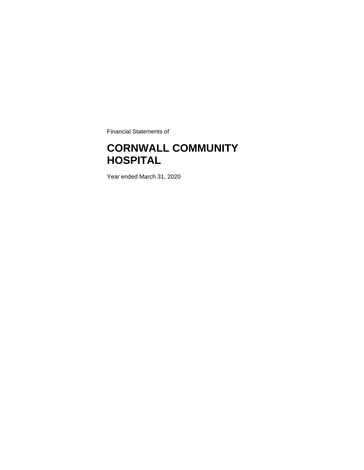Financial Statements of

# **CORNWALL COMMUNITY HOSPITAL**

Year ended March 31, 2020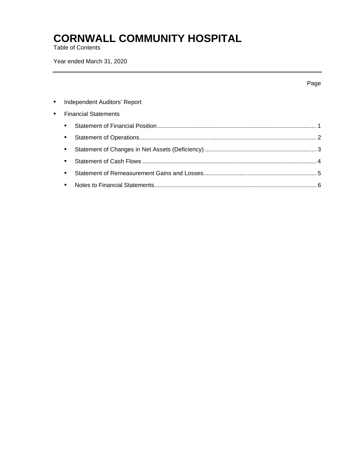Table of Contents

Year ended March 31, 2020

|           |                              | Page |
|-----------|------------------------------|------|
| $\bullet$ | Independent Auditors' Report |      |
| $\bullet$ | <b>Financial Statements</b>  |      |
|           |                              |      |
|           |                              |      |
|           | $\bullet$                    |      |
|           |                              |      |
|           | $\bullet$                    |      |
|           | $\bullet$                    |      |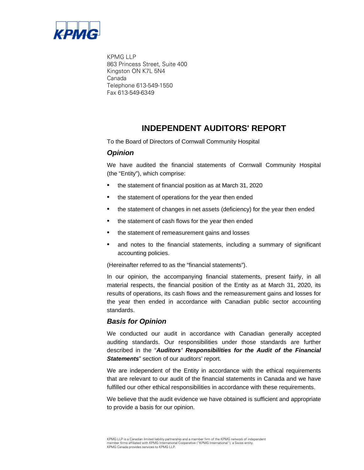

KPMG LLP 863 Princess Street, Suite 400 Kingston ON K7L 5N4 Canada Telephone 613-549-1550 Fax 613-549-6349

### **INDEPENDENT AUDITORS' REPORT**

To the Board of Directors of Cornwall Community Hospital

### *Opinion*

We have audited the financial statements of Cornwall Community Hospital (the "Entity"), which comprise:

- the statement of financial position as at March 31, 2020
- the statement of operations for the year then ended
- the statement of changes in net assets (deficiency) for the year then ended
- the statement of cash flows for the year then ended
- the statement of remeasurement gains and losses
- and notes to the financial statements, including a summary of significant accounting policies.

(Hereinafter referred to as the "financial statements").

In our opinion, the accompanying financial statements, present fairly, in all material respects, the financial position of the Entity as at March 31, 2020, its results of operations, its cash flows and the remeasurement gains and losses for the year then ended in accordance with Canadian public sector accounting standards.

### *Basis for Opinion*

We conducted our audit in accordance with Canadian generally accepted auditing standards. Our responsibilities under those standards are further described in the "*Auditors' Responsibilities for the Audit of the Financial Statements*" section of our auditors' report.

We are independent of the Entity in accordance with the ethical requirements that are relevant to our audit of the financial statements in Canada and we have fulfilled our other ethical responsibilities in accordance with these requirements.

We believe that the audit evidence we have obtained is sufficient and appropriate to provide a basis for our opinion.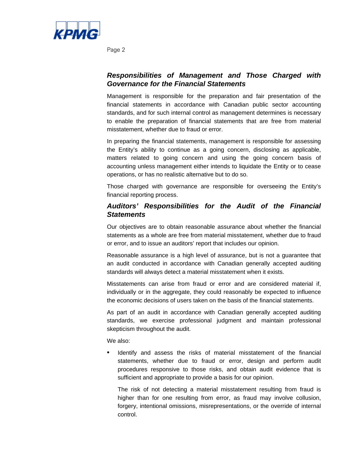

Page 2

### *Responsibilities of Management and Those Charged with Governance for the Financial Statements*

Management is responsible for the preparation and fair presentation of the financial statements in accordance with Canadian public sector accounting standards, and for such internal control as management determines is necessary to enable the preparation of financial statements that are free from material misstatement, whether due to fraud or error.

In preparing the financial statements, management is responsible for assessing the Entity's ability to continue as a going concern, disclosing as applicable, matters related to going concern and using the going concern basis of accounting unless management either intends to liquidate the Entity or to cease operations, or has no realistic alternative but to do so.

Those charged with governance are responsible for overseeing the Entity's financial reporting process.

### *Auditors' Responsibilities for the Audit of the Financial Statements*

Our objectives are to obtain reasonable assurance about whether the financial statements as a whole are free from material misstatement, whether due to fraud or error, and to issue an auditors' report that includes our opinion.

Reasonable assurance is a high level of assurance, but is not a guarantee that an audit conducted in accordance with Canadian generally accepted auditing standards will always detect a material misstatement when it exists.

Misstatements can arise from fraud or error and are considered material if, individually or in the aggregate, they could reasonably be expected to influence the economic decisions of users taken on the basis of the financial statements.

As part of an audit in accordance with Canadian generally accepted auditing standards, we exercise professional judgment and maintain professional skepticism throughout the audit.

We also:

Identify and assess the risks of material misstatement of the financial statements, whether due to fraud or error, design and perform audit procedures responsive to those risks, and obtain audit evidence that is sufficient and appropriate to provide a basis for our opinion.

The risk of not detecting a material misstatement resulting from fraud is higher than for one resulting from error, as fraud may involve collusion, forgery, intentional omissions, misrepresentations, or the override of internal control.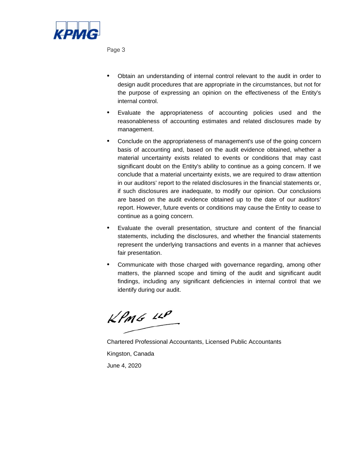

Page 3

- Obtain an understanding of internal control relevant to the audit in order to design audit procedures that are appropriate in the circumstances, but not for the purpose of expressing an opinion on the effectiveness of the Entity's internal control.
- Evaluate the appropriateness of accounting policies used and the reasonableness of accounting estimates and related disclosures made by management.
- Conclude on the appropriateness of management's use of the going concern basis of accounting and, based on the audit evidence obtained, whether a material uncertainty exists related to events or conditions that may cast significant doubt on the Entity's ability to continue as a going concern. If we conclude that a material uncertainty exists, we are required to draw attention in our auditors' report to the related disclosures in the financial statements or, if such disclosures are inadequate, to modify our opinion. Our conclusions are based on the audit evidence obtained up to the date of our auditors' report. However, future events or conditions may cause the Entity to cease to continue as a going concern.
- Evaluate the overall presentation, structure and content of the financial statements, including the disclosures, and whether the financial statements represent the underlying transactions and events in a manner that achieves fair presentation.
- Communicate with those charged with governance regarding, among other matters, the planned scope and timing of the audit and significant audit findings, including any significant deficiencies in internal control that we identify during our audit.

 $KPMG$  11P

Chartered Professional Accountants, Licensed Public Accountants Kingston, Canada June 4, 2020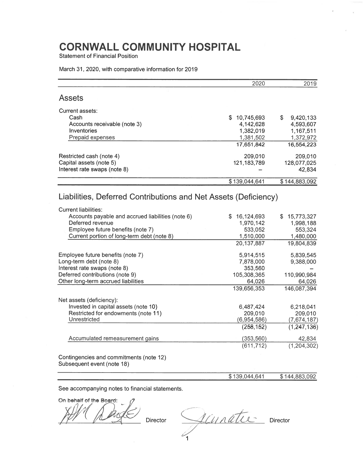**Statement of Financial Position** 

#### March 31, 2020, with comparative information for 2019

|                                                                       | 2020            | 2019            |
|-----------------------------------------------------------------------|-----------------|-----------------|
| <b>Assets</b>                                                         |                 |                 |
| Current assets:                                                       |                 |                 |
| Cash                                                                  | \$10,745,693    | \$<br>9,420,133 |
| Accounts receivable (note 3)                                          | 4,142,628       | 4,593,607       |
| Inventories                                                           | 1,382,019       | 1,167,511       |
| Prepaid expenses                                                      | 1,381,502       | 1,372,972       |
|                                                                       | 17,651,842      | 16,554,223      |
| Restricted cash (note 4)                                              | 209,010         | 209,010         |
| Capital assets (note 5)                                               | 121,183,789     | 128,077,025     |
| Interest rate swaps (note 8)                                          |                 | 42,834          |
|                                                                       | \$139,044,641   | \$144,883,092   |
| Liabilities, Deferred Contributions and Net Assets (Deficiency)       |                 |                 |
| <b>Current liabilities:</b>                                           |                 |                 |
| Accounts payable and accrued liabilities (note 6)                     | 16,124,693<br>S | 15,773,327      |
| Deferred revenue                                                      | 1,970,142       | 1,998,188       |
| Employee future benefits (note 7)                                     | 533,052         | 553,324         |
| Current portion of long-term debt (note 8)                            | 1,510,000       | 1,480,000       |
|                                                                       | 20,137,887      | 19,804,839      |
| Employee future benefits (note 7)                                     | 5,914,515       | 5,839,545       |
| Long-term debt (note 8)                                               | 7,878,000       | 9,388,000       |
| Interest rate swaps (note 8)                                          | 353,560         |                 |
| Deferred contributions (note 9)                                       | 105,308,365     | 110,990,984     |
| Other long-term accrued liabilities                                   | 64,026          | 64,026          |
|                                                                       | 139,656,353     | 146,087,394     |
| Net assets (deficiency):                                              |                 |                 |
| Invested in capital assets (note 10)                                  | 6,487,424       | 6,218,041       |
| Restricted for endowments (note 11)                                   | 209,010         | 209,010         |
| Unrestricted                                                          | (6,954,586)     | (7,674,187)     |
|                                                                       | (258, 152)      | (1, 247, 136)   |
| Accumulated remeasurement gains                                       | (353, 560)      | 42,834          |
|                                                                       | (611, 712)      | (1,204,302)     |
| Contingencies and commitments (note 12)<br>Subsequent event (note 18) |                 |                 |
|                                                                       | \$139,044,641   | \$144,883,092   |

See accompanying notes to financial statements.

On behalf of the Board:

Director

Jainatre Director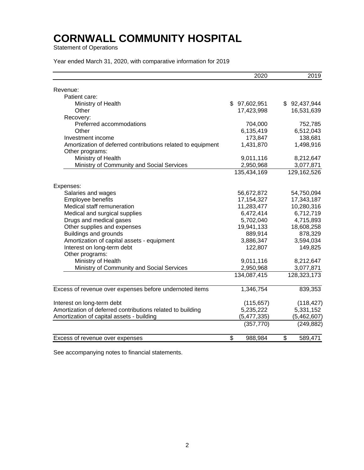Statement of Operations

Year ended March 31, 2020, with comparative information for 2019

|                                                             | 2020          | 2019          |
|-------------------------------------------------------------|---------------|---------------|
| Revenue:                                                    |               |               |
| Patient care:                                               |               |               |
| Ministry of Health                                          | \$97,602,951  | \$92,437,944  |
| Other                                                       | 17,423,998    | 16,531,639    |
| Recovery:                                                   |               |               |
| Preferred accommodations                                    | 704,000       | 752,785       |
| Other                                                       | 6,135,419     | 6,512,043     |
| Investment income                                           | 173,847       | 138,681       |
| Amortization of deferred contributions related to equipment | 1,431,870     | 1,498,916     |
| Other programs:                                             |               |               |
| Ministry of Health                                          | 9,011,116     | 8,212,647     |
| Ministry of Community and Social Services                   | 2,950,968     | 3,077,871     |
|                                                             | 135,434,169   | 129,162,526   |
| Expenses:                                                   |               |               |
| Salaries and wages                                          | 56,672,872    | 54,750,094    |
| Employee benefits                                           | 17, 154, 327  | 17,343,187    |
| Medical staff remuneration                                  | 11,283,477    | 10,280,316    |
| Medical and surgical supplies                               | 6,472,414     | 6,712,719     |
| Drugs and medical gases                                     | 5,702,040     | 4,715,893     |
| Other supplies and expenses                                 | 19,941,133    | 18,608,258    |
| <b>Buildings and grounds</b>                                | 889,914       | 878,329       |
| Amortization of capital assets - equipment                  | 3,886,347     | 3,594,034     |
| Interest on long-term debt                                  | 122,807       | 149,825       |
| Other programs:                                             |               |               |
| Ministry of Health                                          | 9,011,116     | 8,212,647     |
| Ministry of Community and Social Services                   | 2,950,968     | 3,077,871     |
|                                                             | 134,087,415   | 128,323,173   |
| Excess of revenue over expenses before undernoted items     | 1,346,754     | 839,353       |
| Interest on long-term debt                                  | (115, 657)    | (118, 427)    |
| Amortization of deferred contributions related to building  | 5,235,222     | 5,331,152     |
| Amortization of capital assets - building                   | (5,477,335)   | (5,462,607)   |
|                                                             | (357, 770)    | (249, 882)    |
| Excess of revenue over expenses                             | \$<br>988,984 | \$<br>589,471 |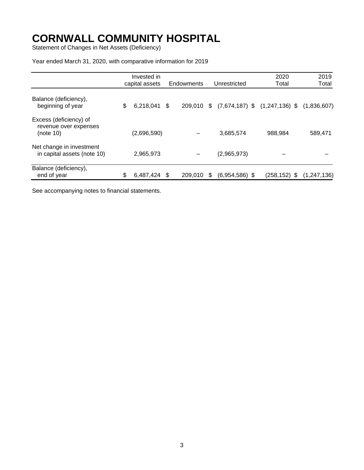Statement of Changes in Net Assets (Deficiency)

Year ended March 31, 2020, with comparative information for 2019

|                                                              | Invested in<br>capital assets |      | Endowments | Unrestricted           | 2020<br>Total                            | 2019<br>Total |
|--------------------------------------------------------------|-------------------------------|------|------------|------------------------|------------------------------------------|---------------|
| Balance (deficiency),<br>beginning of year                   | \$<br>6,218,041 \$            |      |            |                        | 209,010 \$ (7,674,187) \$ (1,247,136) \$ | (1,836,607)   |
| Excess (deficiency) of<br>revenue over expenses<br>(note 10) | (2,696,590)                   |      |            | 3,685,574              | 988,984                                  | 589,471       |
| Net change in investment<br>in capital assets (note 10)      | 2,965,973                     |      |            | (2,965,973)            |                                          |               |
| Balance (deficiency),<br>end of year                         | \$<br>6,487,424               | - \$ | 209,010    | \$<br>$(6,954,586)$ \$ | $(258, 152)$ \$                          | (1, 247, 136) |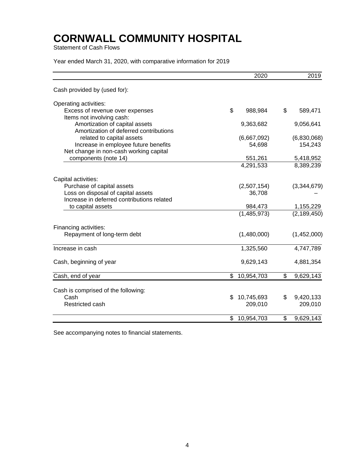Statement of Cash Flows

Year ended March 31, 2020, with comparative information for 2019

|                                                                                                       | 2020             | 2019            |
|-------------------------------------------------------------------------------------------------------|------------------|-----------------|
| Cash provided by (used for):                                                                          |                  |                 |
| Operating activities:                                                                                 |                  |                 |
| Excess of revenue over expenses                                                                       | \$<br>988,984    | \$<br>589,471   |
| Items not involving cash:<br>Amortization of capital assets<br>Amortization of deferred contributions | 9,363,682        | 9,056,641       |
| related to capital assets                                                                             | (6,667,092)      | (6,830,068)     |
| Increase in employee future benefits<br>Net change in non-cash working capital                        | 54,698           | 154,243         |
| components (note 14)                                                                                  | 551,261          | 5,418,952       |
|                                                                                                       | 4,291,533        | 8,389,239       |
| Capital activities:                                                                                   |                  |                 |
| Purchase of capital assets                                                                            | (2,507,154)      | (3,344,679)     |
| Loss on disposal of capital assets                                                                    | 36,708           |                 |
| Increase in deferred contributions related                                                            |                  |                 |
| to capital assets                                                                                     | 984,473          | 1,155,229       |
|                                                                                                       | (1,485,973)      | (2, 189, 450)   |
| Financing activities:                                                                                 |                  |                 |
| Repayment of long-term debt                                                                           | (1,480,000)      | (1,452,000)     |
| Increase in cash                                                                                      | 1,325,560        | 4,747,789       |
| Cash, beginning of year                                                                               | 9,629,143        | 4,881,354       |
| Cash, end of year                                                                                     | \$<br>10,954,703 | \$<br>9,629,143 |
|                                                                                                       |                  |                 |
| Cash is comprised of the following:                                                                   |                  |                 |
| Cash                                                                                                  | \$<br>10,745,693 | \$<br>9,420,133 |
| Restricted cash                                                                                       | 209,010          | 209,010         |
|                                                                                                       | \$<br>10,954,703 | \$<br>9,629,143 |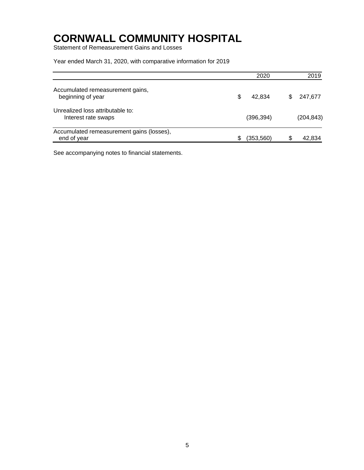Statement of Remeasurement Gains and Losses

Year ended March 31, 2020, with comparative information for 2019

|                                                          | 2020           | 2019         |
|----------------------------------------------------------|----------------|--------------|
| Accumulated remeasurement gains,<br>beginning of year    | S<br>42.834    | 247,677<br>S |
| Unrealized loss attributable to:<br>Interest rate swaps  | (396,394)      | (204, 843)   |
| Accumulated remeasurement gains (losses),<br>end of year | (353,560)<br>S | 42,834       |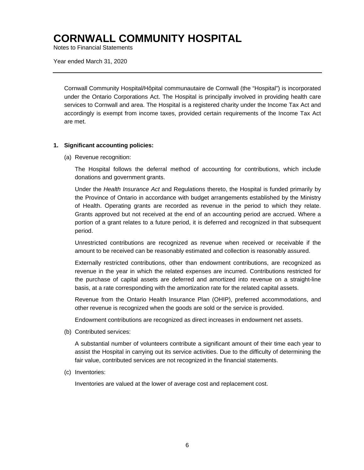Notes to Financial Statements

Year ended March 31, 2020

Cornwall Community Hospital/Hôpital communautaire de Cornwall (the "Hospital") is incorporated under the Ontario Corporations Act. The Hospital is principally involved in providing health care services to Cornwall and area. The Hospital is a registered charity under the Income Tax Act and accordingly is exempt from income taxes, provided certain requirements of the Income Tax Act are met.

#### **1. Significant accounting policies:**

(a) Revenue recognition:

The Hospital follows the deferral method of accounting for contributions, which include donations and government grants.

Under the *Health Insurance Act* and Regulations thereto, the Hospital is funded primarily by the Province of Ontario in accordance with budget arrangements established by the Ministry of Health. Operating grants are recorded as revenue in the period to which they relate. Grants approved but not received at the end of an accounting period are accrued. Where a portion of a grant relates to a future period, it is deferred and recognized in that subsequent period.

Unrestricted contributions are recognized as revenue when received or receivable if the amount to be received can be reasonably estimated and collection is reasonably assured.

Externally restricted contributions, other than endowment contributions, are recognized as revenue in the year in which the related expenses are incurred. Contributions restricted for the purchase of capital assets are deferred and amortized into revenue on a straight-line basis, at a rate corresponding with the amortization rate for the related capital assets.

Revenue from the Ontario Health Insurance Plan (OHIP), preferred accommodations, and other revenue is recognized when the goods are sold or the service is provided.

Endowment contributions are recognized as direct increases in endowment net assets.

(b) Contributed services:

A substantial number of volunteers contribute a significant amount of their time each year to assist the Hospital in carrying out its service activities. Due to the difficulty of determining the fair value, contributed services are not recognized in the financial statements.

(c) Inventories:

Inventories are valued at the lower of average cost and replacement cost.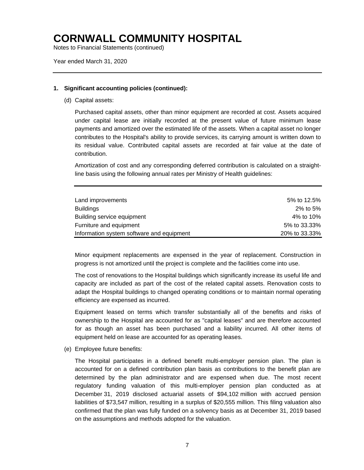Notes to Financial Statements (continued)

Year ended March 31, 2020

#### **1. Significant accounting policies (continued):**

(d) Capital assets:

Purchased capital assets, other than minor equipment are recorded at cost. Assets acquired under capital lease are initially recorded at the present value of future minimum lease payments and amortized over the estimated life of the assets. When a capital asset no longer contributes to the Hospital's ability to provide services, its carrying amount is written down to its residual value. Contributed capital assets are recorded at fair value at the date of contribution.

Amortization of cost and any corresponding deferred contribution is calculated on a straightline basis using the following annual rates per Ministry of Health guidelines:

| Land improvements                         | 5% to 12.5%   |
|-------------------------------------------|---------------|
| <b>Buildings</b>                          | $2\%$ to 5%   |
| Building service equipment                | 4% to 10%     |
| Furniture and equipment                   | 5% to 33.33%  |
| Information system software and equipment | 20% to 33.33% |

Minor equipment replacements are expensed in the year of replacement. Construction in progress is not amortized until the project is complete and the facilities come into use.

The cost of renovations to the Hospital buildings which significantly increase its useful life and capacity are included as part of the cost of the related capital assets. Renovation costs to adapt the Hospital buildings to changed operating conditions or to maintain normal operating efficiency are expensed as incurred.

Equipment leased on terms which transfer substantially all of the benefits and risks of ownership to the Hospital are accounted for as "capital leases" and are therefore accounted for as though an asset has been purchased and a liability incurred. All other items of equipment held on lease are accounted for as operating leases.

(e) Employee future benefits:

The Hospital participates in a defined benefit multi-employer pension plan. The plan is accounted for on a defined contribution plan basis as contributions to the benefit plan are determined by the plan administrator and are expensed when due. The most recent regulatory funding valuation of this multi-employer pension plan conducted as at December 31, 2019 disclosed actuarial assets of \$94,102 million with accrued pension liabilities of \$73,547 million, resulting in a surplus of \$20,555 million. This filing valuation also confirmed that the plan was fully funded on a solvency basis as at December 31, 2019 based on the assumptions and methods adopted for the valuation.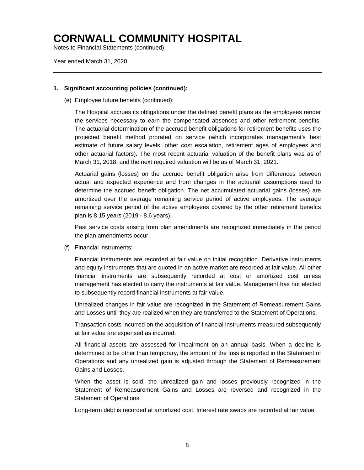Notes to Financial Statements (continued)

Year ended March 31, 2020

#### **1. Significant accounting policies (continued):**

(e) Employee future benefits (continued):

The Hospital accrues its obligations under the defined benefit plans as the employees render the services necessary to earn the compensated absences and other retirement benefits. The actuarial determination of the accrued benefit obligations for retirement benefits uses the projected benefit method prorated on service (which incorporates management's best estimate of future salary levels, other cost escalation, retirement ages of employees and other actuarial factors). The most recent actuarial valuation of the benefit plans was as of March 31, 2018, and the next required valuation will be as of March 31, 2021.

Actuarial gains (losses) on the accrued benefit obligation arise from differences between actual and expected experience and from changes in the actuarial assumptions used to determine the accrued benefit obligation. The net accumulated actuarial gains (losses) are amortized over the average remaining service period of active employees. The average remaining service period of the active employees covered by the other retirement benefits plan is 8.15 years (2019 - 8.6 years).

Past service costs arising from plan amendments are recognized immediately in the period the plan amendments occur.

(f) Financial instruments:

Financial instruments are recorded at fair value on initial recognition. Derivative instruments and equity instruments that are quoted in an active market are recorded at fair value. All other financial instruments are subsequently recorded at cost or amortized cost unless management has elected to carry the instruments at fair value. Management has not elected to subsequently record financial instruments at fair value.

Unrealized changes in fair value are recognized in the Statement of Remeasurement Gains and Losses until they are realized when they are transferred to the Statement of Operations.

Transaction costs incurred on the acquisition of financial instruments measured subsequently at fair value are expensed as incurred.

All financial assets are assessed for impairment on an annual basis. When a decline is determined to be other than temporary, the amount of the loss is reported in the Statement of Operations and any unrealized gain is adjusted through the Statement of Remeasurement Gains and Losses.

When the asset is sold, the unrealized gain and losses previously recognized in the Statement of Remeasurement Gains and Losses are reversed and recognized in the Statement of Operations.

Long-term debt is recorded at amortized cost. Interest rate swaps are recorded at fair value.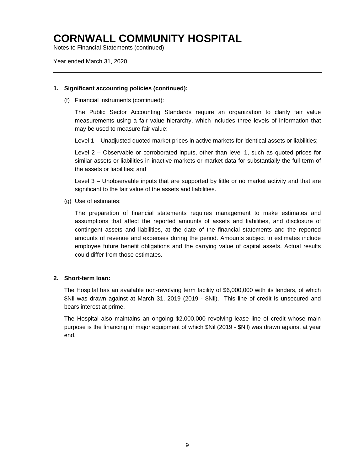Notes to Financial Statements (continued)

Year ended March 31, 2020

### **1. Significant accounting policies (continued):**

(f) Financial instruments (continued):

The Public Sector Accounting Standards require an organization to clarify fair value measurements using a fair value hierarchy, which includes three levels of information that may be used to measure fair value:

Level 1 – Unadjusted quoted market prices in active markets for identical assets or liabilities;

Level 2 – Observable or corroborated inputs, other than level 1, such as quoted prices for similar assets or liabilities in inactive markets or market data for substantially the full term of the assets or liabilities; and

Level 3 – Unobservable inputs that are supported by little or no market activity and that are significant to the fair value of the assets and liabilities.

(g) Use of estimates:

The preparation of financial statements requires management to make estimates and assumptions that affect the reported amounts of assets and liabilities, and disclosure of contingent assets and liabilities, at the date of the financial statements and the reported amounts of revenue and expenses during the period. Amounts subject to estimates include employee future benefit obligations and the carrying value of capital assets. Actual results could differ from those estimates.

### **2. Short-term loan:**

The Hospital has an available non-revolving term facility of \$6,000,000 with its lenders, of which \$Nil was drawn against at March 31, 2019 (2019 - \$Nil). This line of credit is unsecured and bears interest at prime.

The Hospital also maintains an ongoing \$2,000,000 revolving lease line of credit whose main purpose is the financing of major equipment of which \$Nil (2019 - \$Nil) was drawn against at year end.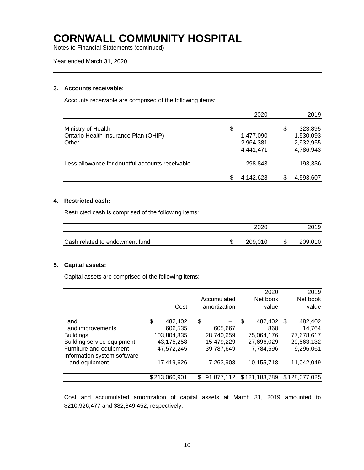Notes to Financial Statements (continued)

Year ended March 31, 2020

#### **3. Accounts receivable:**

Accounts receivable are comprised of the following items:

|                                                 |    | 2020      |    | 2019      |
|-------------------------------------------------|----|-----------|----|-----------|
| Ministry of Health                              | \$ |           | \$ | 323,895   |
| Ontario Health Insurance Plan (OHIP)            |    | 1,477,090 |    | 1,530,093 |
| Other                                           |    | 2,964,381 |    | 2,932,955 |
|                                                 |    | 4,441,471 |    | 4,786,943 |
| Less allowance for doubtful accounts receivable |    | 298.843   |    | 193.336   |
|                                                 | S  | 4,142,628 | S. | 4,593,607 |

#### **4. Restricted cash:**

Restricted cash is comprised of the following items:

|                                | 2020    | 2019    |
|--------------------------------|---------|---------|
| Cash related to endowment fund | 209.010 | 209,010 |

#### **5. Capital assets:**

Capital assets are comprised of the following items:

|                             |               |                  | 2020             | 2019          |
|-----------------------------|---------------|------------------|------------------|---------------|
|                             |               | Accumulated      | Net book         | Net book      |
|                             | Cost          | amortization     | value            | value         |
| Land                        | \$<br>482,402 | \$               | \$<br>482,402 \$ | 482,402       |
| Land improvements           | 606,535       | 605,667          | 868              | 14,764        |
| <b>Buildings</b>            | 103,804,835   | 28,740,659       | 75,064,176       | 77,678,617    |
| Building service equipment  | 43,175,258    | 15,479,229       | 27,696,029       | 29,563,132    |
| Furniture and equipment     | 47,572,245    | 39,787,649       | 7,784,596        | 9,296,061     |
| Information system software |               |                  |                  |               |
| and equipment               | 17,419,626    | 7,263,908        | 10,155,718       | 11,042,049    |
|                             |               |                  |                  |               |
|                             | \$213,060,901 | \$<br>91,877,112 | \$121,183,789    | \$128,077,025 |

Cost and accumulated amortization of capital assets at March 31, 2019 amounted to \$210,926,477 and \$82,849,452, respectively.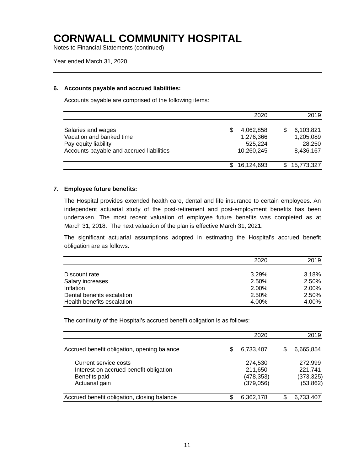Notes to Financial Statements (continued)

Year ended March 31, 2020

#### **6. Accounts payable and accrued liabilities:**

Accounts payable are comprised of the following items:

|                                                                                                                    | 2020                                                 |   | 2019                                          |
|--------------------------------------------------------------------------------------------------------------------|------------------------------------------------------|---|-----------------------------------------------|
| Salaries and wages<br>Vacation and banked time<br>Pay equity liability<br>Accounts payable and accrued liabilities | S<br>4,062,858<br>1,276,366<br>525.224<br>10.260.245 | S | 6,103,821<br>1,205,089<br>28,250<br>8,436,167 |
|                                                                                                                    | 16.124.693                                           |   | \$15,773,327                                  |

#### **7. Employee future benefits:**

The Hospital provides extended health care, dental and life insurance to certain employees. An independent actuarial study of the post-retirement and post-employment benefits has been undertaken. The most recent valuation of employee future benefits was completed as at March 31, 2018. The next valuation of the plan is effective March 31, 2021.

The significant actuarial assumptions adopted in estimating the Hospital's accrued benefit obligation are as follows:

|                            | 2020  | 2019  |
|----------------------------|-------|-------|
|                            |       |       |
| Discount rate              | 3.29% | 3.18% |
| Salary increases           | 2.50% | 2.50% |
| Inflation                  | 2.00% | 2.00% |
| Dental benefits escalation | 2.50% | 2.50% |
| Health benefits escalation | 4.00% | 4.00% |

The continuity of the Hospital's accrued benefit obligation is as follows:

|                                                                                                    |    | 2020                                          | 2019                                          |
|----------------------------------------------------------------------------------------------------|----|-----------------------------------------------|-----------------------------------------------|
| Accrued benefit obligation, opening balance                                                        | \$ | 6,733,407                                     | \$<br>6,665,854                               |
| Current service costs<br>Interest on accrued benefit obligation<br>Benefits paid<br>Actuarial gain |    | 274,530<br>211,650<br>(478, 353)<br>(379,056) | 272,999<br>221,741<br>(373, 325)<br>(53, 862) |
| Accrued benefit obligation, closing balance                                                        | S  | 6,362,178                                     | 6,733,407                                     |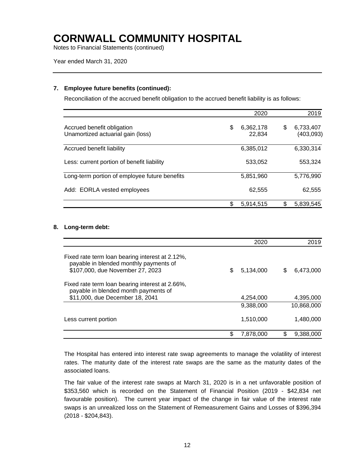Notes to Financial Statements (continued)

Year ended March 31, 2020

### **7. Employee future benefits (continued):**

Reconciliation of the accrued benefit obligation to the accrued benefit liability is as follows:

|                                                                 |     | 2020                | 2019                         |
|-----------------------------------------------------------------|-----|---------------------|------------------------------|
| Accrued benefit obligation<br>Unamortized actuarial gain (loss) | \$  | 6,362,178<br>22.834 | \$<br>6,733,407<br>(403,093) |
| Accrued benefit liability                                       |     | 6,385,012           | 6,330,314                    |
| Less: current portion of benefit liability                      |     | 533.052             | 553.324                      |
| Long-term portion of employee future benefits                   |     | 5,851,960           | 5,776,990                    |
| Add: EORLA vested employees                                     |     | 62,555              | 62,555                       |
|                                                                 | \$. | 5,914,515           | 5,839,545                    |

### **8. Long-term debt:**

|                                                                                                                               | 2020            | 2019             |
|-------------------------------------------------------------------------------------------------------------------------------|-----------------|------------------|
| Fixed rate term loan bearing interest at 2.12%,<br>payable in blended monthly payments of<br>\$107,000, due November 27, 2023 | \$<br>5,134,000 | S<br>6,473,000   |
| Fixed rate term loan bearing interest at 2.66%,<br>payable in blended month payments of<br>\$11,000, due December 18, 2041    | 4,254,000       | 4,395,000        |
|                                                                                                                               | 9,388,000       | 10.868.000       |
| Less current portion                                                                                                          | 1,510,000       | 1.480.000        |
|                                                                                                                               | \$<br>7,878,000 | \$.<br>9,388,000 |

The Hospital has entered into interest rate swap agreements to manage the volatility of interest rates. The maturity date of the interest rate swaps are the same as the maturity dates of the associated loans.

The fair value of the interest rate swaps at March 31, 2020 is in a net unfavorable position of \$353,560 which is recorded on the Statement of Financial Position (2019 - \$42,834 net favourable position). The current year impact of the change in fair value of the interest rate swaps is an unrealized loss on the Statement of Remeasurement Gains and Losses of \$396,394 (2018 - \$204,843).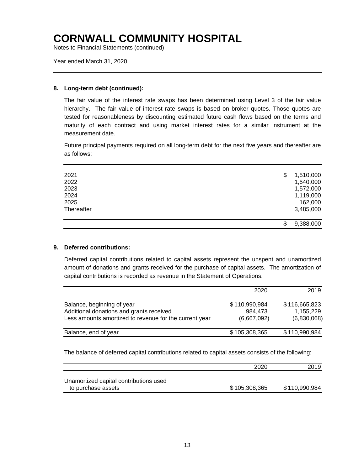Notes to Financial Statements (continued)

Year ended March 31, 2020

#### **8. Long-term debt (continued):**

The fair value of the interest rate swaps has been determined using Level 3 of the fair value hierarchy. The fair value of interest rate swaps is based on broker quotes. Those quotes are tested for reasonableness by discounting estimated future cash flows based on the terms and maturity of each contract and using market interest rates for a similar instrument at the measurement date.

Future principal payments required on all long-term debt for the next five years and thereafter are as follows:

| 2021       | \$<br>1,510,000 |
|------------|-----------------|
| 2022       | 1,540,000       |
| 2023       | 1,572,000       |
| 2024       | 1,119,000       |
| 2025       | 162,000         |
| Thereafter | 3,485,000       |
|            |                 |
|            | \$<br>9,388,000 |

#### **9. Deferred contributions:**

Deferred capital contributions related to capital assets represent the unspent and unamortized amount of donations and grants received for the purchase of capital assets. The amortization of capital contributions is recorded as revenue in the Statement of Operations.

|                                                                                                                                  | 2020                                    | 2019                                      |
|----------------------------------------------------------------------------------------------------------------------------------|-----------------------------------------|-------------------------------------------|
| Balance, beginning of year<br>Additional donations and grants received<br>Less amounts amortized to revenue for the current year | \$110,990,984<br>984.473<br>(6,667,092) | \$116,665,823<br>1,155,229<br>(6,830,068) |
| Balance, end of year                                                                                                             | \$105,308,365                           | \$110,990,984                             |

The balance of deferred capital contributions related to capital assets consists of the following:

|                                                              | 2020          | 2019          |
|--------------------------------------------------------------|---------------|---------------|
| Unamortized capital contributions used<br>to purchase assets | \$105,308,365 | \$110,990,984 |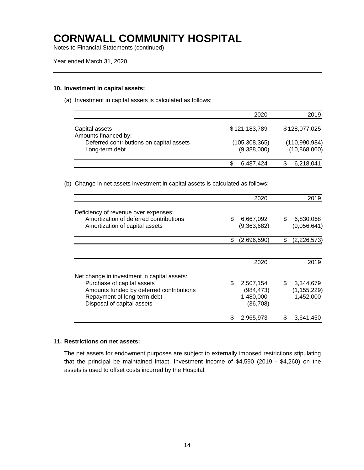Notes to Financial Statements (continued)

#### **10. Investment in capital assets:**

(a) Investment in capital assets is calculated as follows:

|                                                            | 2020                         | 2019                              |
|------------------------------------------------------------|------------------------------|-----------------------------------|
| Capital assets<br>Amounts financed by:                     | \$121,183,789                | \$128,077,025                     |
| Deferred contributions on capital assets<br>Long-term debt | (105,308,365)<br>(9,388,000) | (110, 990, 984)<br>(10, 868, 000) |
|                                                            | 6.487.424                    | 6,218,041                         |

(b) Change in net assets investment in capital assets is calculated as follows:

|                                                                                                                                                                                    | 2020                                                    | 2019                                          |
|------------------------------------------------------------------------------------------------------------------------------------------------------------------------------------|---------------------------------------------------------|-----------------------------------------------|
| Deficiency of revenue over expenses:<br>Amortization of deferred contributions<br>Amortization of capital assets                                                                   | \$<br>6,667,092<br>(9,363,682)                          | \$<br>6,830,068<br>(9,056,641)                |
|                                                                                                                                                                                    | \$<br>(2,696,590)                                       | \$<br>(2,226,573)                             |
|                                                                                                                                                                                    | 2020                                                    | 2019                                          |
| Net change in investment in capital assets:<br>Purchase of capital assets<br>Amounts funded by deferred contributions<br>Repayment of long-term debt<br>Disposal of capital assets | \$<br>2,507,154<br>(984, 473)<br>1,480,000<br>(36, 708) | \$<br>3,344,679<br>(1, 155, 229)<br>1,452,000 |
|                                                                                                                                                                                    | 2,965,973                                               | 3,641,450                                     |

### **11. Restrictions on net assets:**

The net assets for endowment purposes are subject to externally imposed restrictions stipulating that the principal be maintained intact. Investment income of \$4,590 (2019 - \$4,260) on the assets is used to offset costs incurred by the Hospital.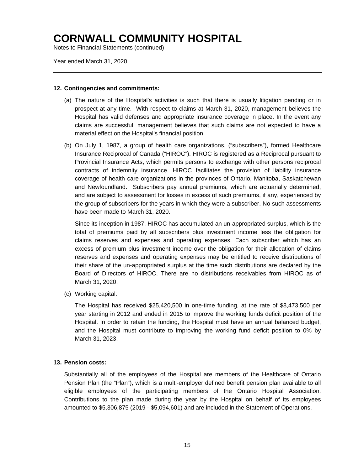Notes to Financial Statements (continued)

Year ended March 31, 2020

#### **12. Contingencies and commitments:**

- (a) The nature of the Hospital's activities is such that there is usually litigation pending or in prospect at any time. With respect to claims at March 31, 2020, management believes the Hospital has valid defenses and appropriate insurance coverage in place. In the event any claims are successful, management believes that such claims are not expected to have a material effect on the Hospital's financial position.
- (b) On July 1, 1987, a group of health care organizations, ("subscribers"), formed Healthcare Insurance Reciprocal of Canada ("HIROC"). HIROC is registered as a Reciprocal pursuant to Provincial Insurance Acts, which permits persons to exchange with other persons reciprocal contracts of indemnity insurance. HIROC facilitates the provision of liability insurance coverage of health care organizations in the provinces of Ontario, Manitoba, Saskatchewan and Newfoundland. Subscribers pay annual premiums, which are actuarially determined, and are subject to assessment for losses in excess of such premiums, if any, experienced by the group of subscribers for the years in which they were a subscriber. No such assessments have been made to March 31, 2020.

Since its inception in 1987, HIROC has accumulated an un-appropriated surplus, which is the total of premiums paid by all subscribers plus investment income less the obligation for claims reserves and expenses and operating expenses. Each subscriber which has an excess of premium plus investment income over the obligation for their allocation of claims reserves and expenses and operating expenses may be entitled to receive distributions of their share of the un-appropriated surplus at the time such distributions are declared by the Board of Directors of HIROC. There are no distributions receivables from HIROC as of March 31, 2020.

(c) Working capital:

The Hospital has received \$25,420,500 in one-time funding, at the rate of \$8,473,500 per year starting in 2012 and ended in 2015 to improve the working funds deficit position of the Hospital. In order to retain the funding, the Hospital must have an annual balanced budget, and the Hospital must contribute to improving the working fund deficit position to 0% by March 31, 2023.

### **13. Pension costs:**

Substantially all of the employees of the Hospital are members of the Healthcare of Ontario Pension Plan (the "Plan"), which is a multi-employer defined benefit pension plan available to all eligible employees of the participating members of the Ontario Hospital Association. Contributions to the plan made during the year by the Hospital on behalf of its employees amounted to \$5,306,875 (2019 - \$5,094,601) and are included in the Statement of Operations.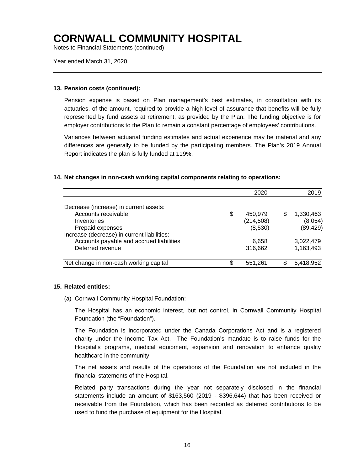Notes to Financial Statements (continued)

Year ended March 31, 2020

#### **13. Pension costs (continued):**

Pension expense is based on Plan management's best estimates, in consultation with its actuaries, of the amount, required to provide a high level of assurance that benefits will be fully represented by fund assets at retirement, as provided by the Plan. The funding objective is for employer contributions to the Plan to remain a constant percentage of employees' contributions.

Variances between actuarial funding estimates and actual experience may be material and any differences are generally to be funded by the participating members. The Plan's 2019 Annual Report indicates the plan is fully funded at 119%.

#### **14. Net changes in non-cash working capital components relating to operations:**

|                                             | 2020          |   | 2019      |
|---------------------------------------------|---------------|---|-----------|
| Decrease (increase) in current assets:      |               |   |           |
| Accounts receivable                         | \$<br>450.979 | S | 1,330,463 |
| Inventories                                 | (214, 508)    |   | (8,054)   |
| Prepaid expenses                            | (8,530)       |   | (89, 429) |
| Increase (decrease) in current liabilities: |               |   |           |
| Accounts payable and accrued liabilities    | 6.658         |   | 3,022,479 |
| Deferred revenue                            | 316,662       |   | 1,163,493 |
| Net change in non-cash working capital      | \$<br>551,261 |   | 5,418,952 |

#### **15. Related entities:**

(a) Cornwall Community Hospital Foundation:

The Hospital has an economic interest, but not control, in Cornwall Community Hospital Foundation (the "Foundation").

The Foundation is incorporated under the Canada Corporations Act and is a registered charity under the Income Tax Act. The Foundation's mandate is to raise funds for the Hospital's programs, medical equipment, expansion and renovation to enhance quality healthcare in the community.

The net assets and results of the operations of the Foundation are not included in the financial statements of the Hospital.

Related party transactions during the year not separately disclosed in the financial statements include an amount of \$163,560 (2019 - \$396,644) that has been received or receivable from the Foundation, which has been recorded as deferred contributions to be used to fund the purchase of equipment for the Hospital.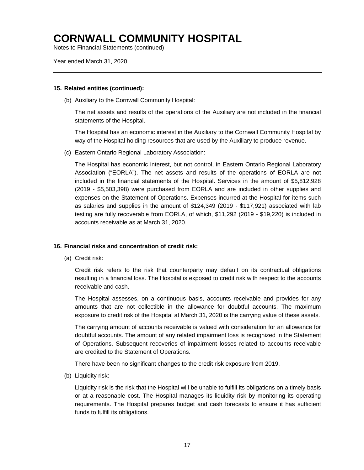Notes to Financial Statements (continued)

Year ended March 31, 2020

#### **15. Related entities (continued):**

(b) Auxiliary to the Cornwall Community Hospital:

The net assets and results of the operations of the Auxiliary are not included in the financial statements of the Hospital.

The Hospital has an economic interest in the Auxiliary to the Cornwall Community Hospital by way of the Hospital holding resources that are used by the Auxiliary to produce revenue.

(c) Eastern Ontario Regional Laboratory Association:

The Hospital has economic interest, but not control, in Eastern Ontario Regional Laboratory Association ("EORLA"). The net assets and results of the operations of EORLA are not included in the financial statements of the Hospital. Services in the amount of \$5,812,928 (2019 - \$5,503,398) were purchased from EORLA and are included in other supplies and expenses on the Statement of Operations. Expenses incurred at the Hospital for items such as salaries and supplies in the amount of \$124,349 (2019 - \$117,921) associated with lab testing are fully recoverable from EORLA, of which, \$11,292 (2019 - \$19,220) is included in accounts receivable as at March 31, 2020.

### **16. Financial risks and concentration of credit risk:**

(a) Credit risk:

Credit risk refers to the risk that counterparty may default on its contractual obligations resulting in a financial loss. The Hospital is exposed to credit risk with respect to the accounts receivable and cash.

The Hospital assesses, on a continuous basis, accounts receivable and provides for any amounts that are not collectible in the allowance for doubtful accounts. The maximum exposure to credit risk of the Hospital at March 31, 2020 is the carrying value of these assets.

The carrying amount of accounts receivable is valued with consideration for an allowance for doubtful accounts. The amount of any related impairment loss is recognized in the Statement of Operations. Subsequent recoveries of impairment losses related to accounts receivable are credited to the Statement of Operations.

There have been no significant changes to the credit risk exposure from 2019.

(b) Liquidity risk:

Liquidity risk is the risk that the Hospital will be unable to fulfill its obligations on a timely basis or at a reasonable cost. The Hospital manages its liquidity risk by monitoring its operating requirements. The Hospital prepares budget and cash forecasts to ensure it has sufficient funds to fulfill its obligations.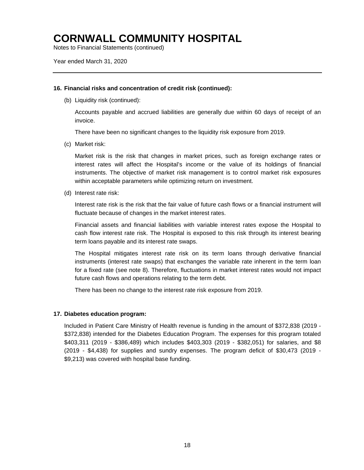Notes to Financial Statements (continued)

Year ended March 31, 2020

#### **16. Financial risks and concentration of credit risk (continued):**

(b) Liquidity risk (continued):

Accounts payable and accrued liabilities are generally due within 60 days of receipt of an invoice.

There have been no significant changes to the liquidity risk exposure from 2019.

(c) Market risk:

Market risk is the risk that changes in market prices, such as foreign exchange rates or interest rates will affect the Hospital's income or the value of its holdings of financial instruments. The objective of market risk management is to control market risk exposures within acceptable parameters while optimizing return on investment.

(d) Interest rate risk:

Interest rate risk is the risk that the fair value of future cash flows or a financial instrument will fluctuate because of changes in the market interest rates.

Financial assets and financial liabilities with variable interest rates expose the Hospital to cash flow interest rate risk. The Hospital is exposed to this risk through its interest bearing term loans payable and its interest rate swaps.

The Hospital mitigates interest rate risk on its term loans through derivative financial instruments (interest rate swaps) that exchanges the variable rate inherent in the term loan for a fixed rate (see note 8). Therefore, fluctuations in market interest rates would not impact future cash flows and operations relating to the term debt.

There has been no change to the interest rate risk exposure from 2019.

#### **17. Diabetes education program:**

Included in Patient Care Ministry of Health revenue is funding in the amount of \$372,838 (2019 - \$372,838) intended for the Diabetes Education Program. The expenses for this program totaled \$403,311 (2019 - \$386,489) which includes \$403,303 (2019 - \$382,051) for salaries, and \$8 (2019 - \$4,438) for supplies and sundry expenses. The program deficit of \$30,473 (2019 - \$9,213) was covered with hospital base funding.